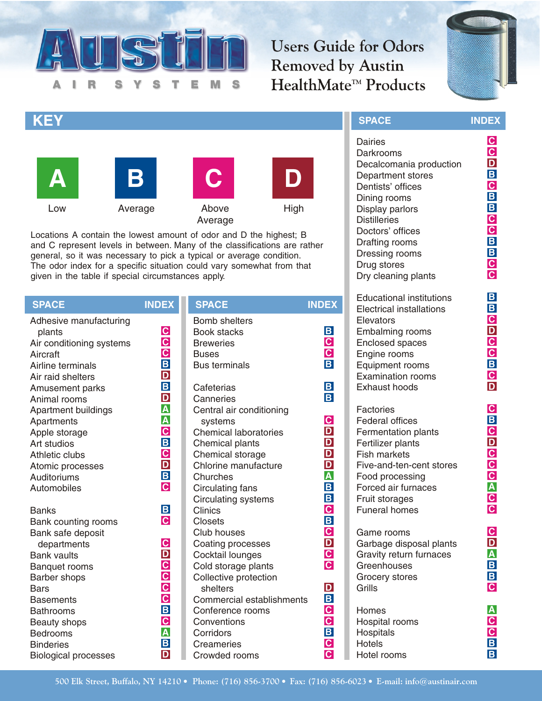

**Users Guide for Odors Removed by Austin** HealthMate<sup>™</sup> Products



**INDEX**

# **KEY SPACE**









Locations A contain the lowest amount of odor and D the highest; B and C represent levels in between. Many of the classifications are rather general, so it was necessary to pick a typical or average condition. The odor index for a specific situation could vary somewhat from that given in the table if special circumstances apply.

**SPACE INDEX SPACE INDEX** Adhesive manufacturing plants Air conditioning systems Aircraft Airline terminals Air raid shelters Amusement parks Animal rooms Apartment buildings Apartments Apple storage Art studios Athletic clubs Atomic processes **Auditoriums** Automobiles Banks Bank counting rooms Bank safe deposit departments Bank vaults Banquet rooms Barber shops **Bars Basements** Bathrooms Beauty shops Bedrooms **Binderies** Biological processes Bomb shelters Book stacks **Breweries Buses** Bus terminals Cafeterias **Canneries** Central air conditioning systems Chemical laboratories Chemical plants Chemical storage Chlorine manufacture **Churches** Circulating fans Circulating systems **Clinics** Closets Club houses Coating processes Cocktail lounges Cold storage plants Collective protection shelters Commercial establishments Conference rooms **Conventions** Corridors **Creameries** Crowded rooms **C C C B D B D A A C B C D B C B C C D C C C C B C A B D B C C B B B C D D D D A B B C B C D C C D B C C B C C**

Dairies Darkrooms Decalcomania production Department stores Dentists' offices Dining rooms Display parlors **Distilleries** Doctors' offices Drafting rooms Dressing rooms Drug stores Dry cleaning plants Educational institutions Electrical installations **Elevators** Embalming rooms Enclosed spaces Engine rooms Equipment rooms Examination rooms Exhaust hoods **Factories** Federal offices Fermentation plants Fertilizer plants Fish markets Five-and-ten-cent stores Food processing Forced air furnaces Fruit storages Funeral homes Game rooms Garbage disposal plants Gravity return furnaces **Greenhouses** Grocery stores **Grills** Homes Hospital rooms Hospitals **Hotels** Hotel rooms **C C D B C B B C C B B C C B B C D C C B C D C B C D C C C A C C C D A B B C A C C B B**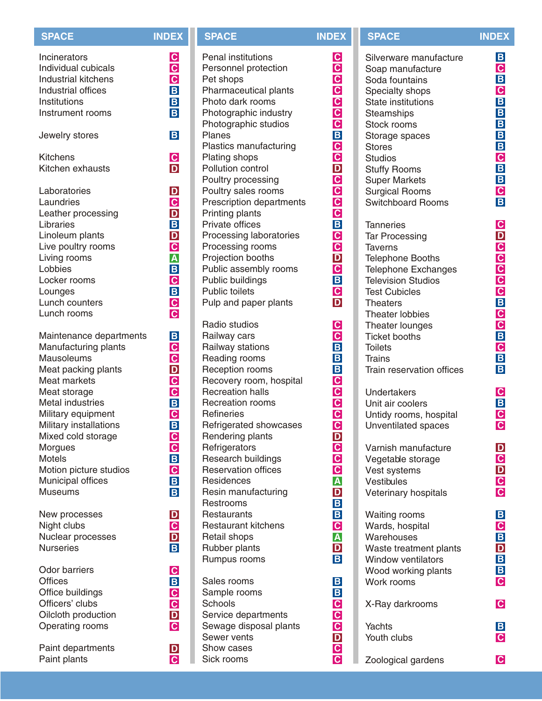| <b>SPACE</b>                        | <b>INDEX</b>            |
|-------------------------------------|-------------------------|
| Incinerators                        | $\mathbf C$             |
| Individual cubicals                 | $\overline{c}$          |
| <b>Industrial kitchens</b>          | $\mathbf C$             |
| <b>Industrial offices</b>           | $\overline{\mathbf{B}}$ |
| Institutions                        | B                       |
| Instrument rooms                    | B                       |
| Jewelry stores                      | B                       |
| <b>Kitchens</b><br>Kitchen exhausts | $\frac{C}{D}$           |
| Laboratories                        | $\mathbf{D}$            |
| Laundries                           | $\overline{c}$          |
| Leather processing                  | D                       |
| Libraries                           | $\mathbf B$             |
| Linoleum plants                     | D                       |
| Live poultry rooms                  | $\mathbf C$             |
| Living rooms                        | $\pmb{\mathsf{A}}$      |
| Lobbies                             | $\overline{\mathsf{B}}$ |
| Locker rooms                        | $\overline{c}$          |
| Lounges                             | $\overline{\mathbf{B}}$ |
| Lunch counters                      | $\mathbf C$             |
| Lunch rooms                         | $\overline{c}$          |
| Maintenance departments             | $\mathbf B$             |
| Manufacturing plants                | $\mathbf C$             |
| <b>Mausoleums</b>                   | $\overline{c}$          |
| Meat packing plants                 | D                       |
| <b>Meat markets</b>                 | $\overline{\mathbf{C}}$ |
| Meat storage                        | $\overline{c}$          |
| <b>Metal industries</b>             | $\overline{B}$          |
| Military equipment                  | $\mathbf{C}$            |
| Military installations              | B                       |
| Mixed cold storage                  | $\mathbf C$             |
| Morgues                             | $\overline{c}$          |
| <b>Motels</b>                       | $\overline{\mathbf{B}}$ |
| Motion picture studios              | $\overline{c}$          |
| Municipal offices                   | $\mathbf B$             |
| Museums                             | B                       |
| New processes                       | D                       |
| Night clubs                         | $\mathbf{C}$            |
| Nuclear processes                   | D                       |
| <b>Nurseries</b>                    | $\overline{B}$          |
| Odor barriers                       | $\mathbf C$             |
| <b>Offices</b>                      | $\overline{\mathsf{B}}$ |
| Office buildings                    | $\mathbf C$             |
| Officers' clubs                     | $\mathbf C$             |
| Oilcloth production                 | D                       |
| Operating rooms                     | $\overline{c}$          |
| Paint departments                   | D                       |
| Paint plants                        | $\mathbf{C}$            |

| <b>SPACE</b>                                                                                                                                                                                                                                                                                                                                                                                                                                                                                                             | <b>INDEX</b>                                                                                                                                                                                                                                                                                                                                                          |
|--------------------------------------------------------------------------------------------------------------------------------------------------------------------------------------------------------------------------------------------------------------------------------------------------------------------------------------------------------------------------------------------------------------------------------------------------------------------------------------------------------------------------|-----------------------------------------------------------------------------------------------------------------------------------------------------------------------------------------------------------------------------------------------------------------------------------------------------------------------------------------------------------------------|
| <b>Penal institutions</b><br>Personnel protection<br>Pet shops<br><b>Pharmaceutical plants</b><br>Photo dark rooms<br>Photographic industry<br>Photographic studios<br>Planes<br>Plastics manufacturing<br>Plating shops<br>Pollution control<br>Poultry processing<br>Poultry sales rooms<br>Prescription departments<br>Printing plants<br>Private offices<br>Processing laboratories<br>Processing rooms<br>Projection booths<br>Public assembly rooms<br>Public buildings<br>Public toilets<br>Pulp and paper plants | $ {\bf C} $<br>$\mathbf C$<br>$\mathbf C$<br>$\overline{c}$<br>$\frac{c}{c}$<br>$\overline{\mathbf{C}}$<br>$\overline{\mathbf{B}}$<br>$\mathbf{C}$<br>$\mathbf C$<br>D<br>$\mathbf C$<br>$\overline{c}$<br>$\frac{\overline{C}}{\overline{C}}$<br>$\overline{\mathbf{B}}$<br>$\mathbf C$<br>$\mathbf{C}$<br>D<br>$\overline{\mathbf{C}}$<br>B<br>$\mathbf{C}$<br>D    |
| Radio studios<br>Railway cars<br>Railway stations<br>Reading rooms<br>Reception rooms<br>Recovery room, hospital<br><b>Recreation halls</b><br><b>Recreation rooms</b><br><b>Refineries</b><br>Refrigerated showcases<br><b>Rendering plants</b><br>Refrigerators<br>Research buildings<br><b>Reservation offices</b><br>Residences<br>Resin manufacturing<br>Restrooms<br>Restaurants<br><b>Restaurant kitchens</b><br>Retail shops<br>Rubber plants<br>Rumpus rooms                                                    | $\mathbf{C}$<br>$\overline{\mathbf{c}}$<br>$\overline{\mathbf{B}}$<br>$\pmb B$<br>$\mathbf{B}$<br>$\mathbf{C}$<br>$\overline{c}$<br>$\mathbf{C}$<br>$\overline{\mathbf{C}}$<br>$\overline{\mathbf{C}}$<br>$\mathbf{D}$<br>C<br>C<br>C<br>A<br>D<br>$\overline{\mathbf{B}}$<br>$\mathbf{B}$<br>$\overline{c}$<br>$\pmb{\mathsf{A}}$<br>$\frac{\mathsf{D}}{\mathsf{B}}$ |
| Sales rooms<br>Sample rooms<br>Schools<br>Service departments<br>Sewage disposal plants<br>Sewer vents<br>Show cases<br>Sick rooms                                                                                                                                                                                                                                                                                                                                                                                       | $\mathbf{B}$<br>B<br>$\overline{c}$<br>$\overline{c}$<br>$\overline{\mathbf{c}}$<br>D<br>$\overline{\mathbf{C}}$<br>$\overline{\mathbf{c}}$                                                                                                                                                                                                                           |

Silverware manufacture Soap manufacture Soda fountains Specialty shops State institutions **Steamships** Stock rooms Storage spaces **Stores Studios** Stuffy Rooms Super Markets Surgical Rooms Switchboard Rooms **Tanneries** Tar Processing Taverns Telephone Booths Telephone Exchanges Television Studios Test Cubicles **Theaters** Theater lobbies Theater lounges Ticket booths **Toilets Trains** Train reservation offices **Undertakers** Unit air coolers Untidy rooms, hospital Unventilated spaces Varnish manufacture Vegetable storage Vest systems **Vestibules** Veterinary hospitals Waiting rooms Wards, hospital **Warehouses** Waste treatment plants Window ventilators Wood working plants Work rooms **SPACE INDEX**

X-Ray darkrooms

Yachts Youth clubs

Zoological gardens

**B C B C B B B B B C B B C B**

**C D C C C C C B C C B C B B**

**C B C C**

**D C D C C**

**B C B D B B C**

**C**

**B C**

**C**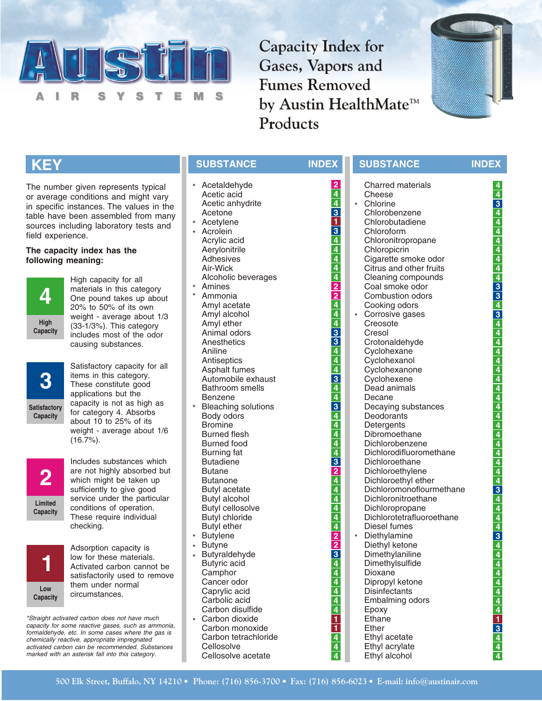

**Capacity Index for** Gases, Vapors and **Fumes Removed** by Austin HealthMate<sup>™</sup> Products



# **KEY**

The number given represents typical or average conditions and might vary in specific instances. The values in the table have been assembled from many sources including laboratory tests and field experience.

### **The capacity index has the following meaning:**



High capacity for all materials in this category One pound takes up about 20% to 50% of its own weight - average about 1/3 (33-1/3%). This category includes most of the odor causing substances.



Satisfactory capacity for all items in this category. These constitute good applications but the capacity is not as high as for category 4. Absorbs about 10 to 25% of its weight - average about 1/6 (16.7%).



Includes substances which are not highly absorbed but which might be taken up sufficiently to give good service under the particular conditions of operation. These require individual checking.



Adsorption capacity is low for these materials. Activated carbon cannot be satisfactorily used to remove them under normal circumstances.

*\*Straight activated carbon does not have much capacity for some reactive gases, such as ammonia, formaldehyde, etc. In some cases where the gas is chemically reactive, appropriate impregnated activated carbon can be recommended. Substances marked with an asterisk fall into this category.*

- Acetaldehyde \* Acetic acid Acetic anhydrite Acetone
- Acetylene \*
- Acrolein Acrylic acid Aerylonitrile Adhesives Air-Wick Alcoholic beverages \*
- Amines
- Ammonia Amyl acetate Amyl alcohol Amyl ether Animal odors **Anesthetics** Aniline **Antiseptics** Asphalt fumes Automobile exhaust Bathroom smells Benzene Bleaching solutions Body odors Bromine Burned flesh Burned food Burning fat Butadiene **Butane** Butanone Butyl acetate Butyl alcohol Butyl cellosolve Butyl chloride Butyl ether \* \* \*
- Butylene
- **Butyne** \*
- Butyraldehyde Butyric acid **Camphor** Cancer odor Caprylic acid Carbolic acid Carbon disulfide \* \*
- Carbon dioxide Carbon monoxide Carbon tetrachloride **Cellosolve** Cellosolve acetate \*

| <b>SUBSTANCE</b>               | <b>INDEX</b>                     | <b>SUBSTANCE</b>                          | <b>INDEX</b>                                                                        |
|--------------------------------|----------------------------------|-------------------------------------------|-------------------------------------------------------------------------------------|
| Acetaldehyde                   | $\frac{2}{4}$                    | <b>Charred materials</b>                  | 4                                                                                   |
| Acetic acid                    |                                  | Cheese                                    | $\frac{4}{3}$ $\frac{4}{4}$                                                         |
| Acetic anhydrite               | $\overline{4}$                   | Chlorine<br>$\star$                       |                                                                                     |
| Acetone                        | 3                                | Chlorobenzene                             |                                                                                     |
| Acetylene                      | 1                                | Chlorobutadiene                           |                                                                                     |
| Acrolein                       | $\overline{3}$                   | Chloroform                                |                                                                                     |
| Acrylic acid                   | $\overline{\mathbf{4}}$          | Chloronitropropane                        |                                                                                     |
| Aerylonitrile                  | $\overline{\mathbf{4}}$          | Chloropicrin                              |                                                                                     |
| Adhesives                      | $\overline{\mathbf{4}}$          | Cigarette smoke odor                      | $\frac{4}{4}$ $\frac{4}{4}$ $\frac{4}{3}$ $\frac{3}{3}$ $\frac{3}{4}$ $\frac{3}{3}$ |
| Air-Wick                       | 4                                | Citrus and other fruits                   |                                                                                     |
| Alcoholic beverages            | $\frac{4}{2}$<br>$\frac{2}{4}$   | Cleaning compounds                        |                                                                                     |
| Amines                         |                                  | Coal smoke odor                           |                                                                                     |
| Ammonia                        |                                  | Combustion odors                          |                                                                                     |
| Amyl acetate                   |                                  | Cooking odors                             |                                                                                     |
| Amyl alcohol                   | $\overline{4}$                   | * Corrosive gases                         | $\overline{4}$                                                                      |
| Amyl ether<br>Animal odors     | 3                                | Creosote<br>Cresol                        |                                                                                     |
| Anesthetics                    | 3                                | Crotonaldehyde                            | 4<br>$\overline{4}$                                                                 |
| Aniline                        | $\overline{\mathbf{4}}$          | Cyclohexane                               |                                                                                     |
| Antiseptics                    | $\overline{\mathbf{4}}$          | Cyclohexanol                              |                                                                                     |
| Asphalt fumes                  | 4                                | Cyclohexanone                             | $\frac{4}{4}$                                                                       |
| Automobile exhaust             | 3                                | Cyclohexene                               |                                                                                     |
| <b>Bathroom</b> smells         | 4                                | Dead animals                              |                                                                                     |
| Benzene                        |                                  | Decane                                    | $\frac{4}{4}$ $\frac{4}{4}$                                                         |
| <b>Bleaching solutions</b>     | $\frac{4}{3}$                    | Decaying substances                       |                                                                                     |
| Body odors                     | $\overline{4}$                   | Deodorants                                |                                                                                     |
| <b>Bromine</b>                 |                                  | Detergents                                |                                                                                     |
| <b>Burned flesh</b>            |                                  | Dibromoethane                             |                                                                                     |
| <b>Burned food</b>             | $\frac{4}{4}$                    | Dichlorobenzene                           | $\frac{4}{4}$ $\frac{4}{4}$                                                         |
| <b>Burning fat</b>             |                                  | Dichlorodifluoromethane                   |                                                                                     |
| <b>Butadiene</b>               | $\overline{\mathbf{3}}$          | Dichloroethane                            |                                                                                     |
| <b>Butane</b>                  | $\frac{2}{4}$                    | Dichloroethylene                          | $\frac{4}{4}$                                                                       |
| <b>Butanone</b>                |                                  | Dichloroethyl ether                       |                                                                                     |
| <b>Butyl acetate</b>           | $\overline{\mathbf{4}}$          | Dichloromonoflourmethane                  | $\overline{\overline{3}}$                                                           |
| Butyl alcohol                  | $\overline{\mathbf{4}}$          | Dichloronitroethane                       | $\frac{4}{4}$                                                                       |
| <b>Butyl cellosolve</b>        | 4                                | Dichloropropane                           |                                                                                     |
| <b>Butyl chloride</b>          | 4                                | Dichlorotetrafluoroethane<br>Diesel fumes | 4                                                                                   |
| <b>Butyl ether</b>             | 4                                | $\star$                                   | $\overline{4}$                                                                      |
| <b>Butylene</b>                | $\overline{2}$<br>$\overline{2}$ | Diethylamine                              | $\overline{\overline{3}}$<br>$\overline{4}$                                         |
| <b>Butyne</b><br>Butyraldehyde |                                  | Diethyl ketone<br>Dimethylaniline         |                                                                                     |
| Butyric acid                   |                                  | Dimethylsulfide                           | $\overline{4}$<br>$\overline{\mathbf{4}}$                                           |
| Camphor                        |                                  | Dioxane                                   |                                                                                     |
| Cancer odor                    |                                  | Dipropyl ketone                           |                                                                                     |
| Caprylic acid                  | $\frac{3}{4}$ $\frac{4}{4}$      | <b>Disinfectants</b>                      | $\frac{4}{4}$ $\frac{4}{4}$ $\frac{4}{4}$ $\frac{4}{1}$ $\frac{3}{4}$               |
| Carbolic acid                  |                                  | Embalming odors                           |                                                                                     |
| Carbon disulfide               | $\frac{4}{4}$                    | Epoxy                                     |                                                                                     |
| Carbon dioxide                 |                                  | Ethane                                    |                                                                                     |
| Carbon monoxide                | $\overline{\mathbf{1}}$          | Ether                                     |                                                                                     |
| Carbon tetrachloride           | $\overline{4}$                   | Ethyl acetate                             |                                                                                     |
| Cellosolve                     | $\overline{\mathbf{4}}$          | Ethyl acrylate                            | $\overline{4}$                                                                      |

Ethyl alcohol